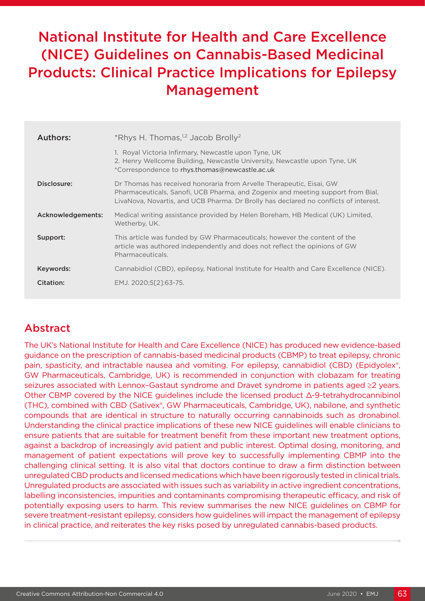# National Institute for Health and Care Excellence (NICE) Guidelines on Cannabis-Based Medicinal Products: Clinical Practice Implications for Epilepsy Management

| Authors:          | *Rhys H. Thomas, <sup>1,2</sup> Jacob Brolly <sup>2</sup>                                                                                                                                                                                       |
|-------------------|-------------------------------------------------------------------------------------------------------------------------------------------------------------------------------------------------------------------------------------------------|
|                   | 1. Royal Victoria Infirmary, Newcastle upon Tyne, UK<br>2. Henry Wellcome Building, Newcastle University, Newcastle upon Tyne, UK<br>*Correspondence to rhys.thomas@newcastle.ac.uk                                                             |
| Disclosure:       | Dr Thomas has received honoraria from Arvelle Therapeutic, Eisai, GW<br>Pharmaceuticals, Sanofi, UCB Pharma, and Zogenix and meeting support from Bial,<br>LivaNova, Novartis, and UCB Pharma. Dr Brolly has declared no conflicts of interest. |
| Acknowledgements: | Medical writing assistance provided by Helen Boreham, HB Medical (UK) Limited,<br>Wetherby, UK.                                                                                                                                                 |
| Support:          | This article was funded by GW Pharmaceuticals; however the content of the<br>article was authored independently and does not reflect the opinions of GW<br>Pharmaceuticals.                                                                     |
| Keywords:         | Cannabidiol (CBD), epilepsy, National Institute for Health and Care Excellence (NICE).                                                                                                                                                          |
| Citation:         | EMJ. 2020;5[2]:63-75.                                                                                                                                                                                                                           |
|                   |                                                                                                                                                                                                                                                 |

## Abstract

The UK's National Institute for Health and Care Excellence (NICE) has produced new evidence-based guidance on the prescription of cannabis-based medicinal products (CBMP) to treat epilepsy, chronic pain, spasticity, and intractable nausea and vomiting. For epilepsy, cannabidiol (CBD) (Epidyolex<sup>®</sup>, GW Pharmaceuticals, Cambridge, UK) is recommended in conjunction with clobazam for treating seizures associated with Lennox–Gastaut syndrome and Dravet syndrome in patients aged ≥2 years. Other CBMP covered by the NICE guidelines include the licensed product Δ-9-tetrahydrocannibinol (THC), combined with CBD (Sativex®, GW Pharmaceuticals, Cambridge, UK), nabilone, and synthetic compounds that are identical in structure to naturally occurring cannabinoids such as dronabinol. Understanding the clinical practice implications of these new NICE guidelines will enable clinicians to ensure patients that are suitable for treatment benefit from these important new treatment options, against a backdrop of increasingly avid patient and public interest. Optimal dosing, monitoring, and management of patient expectations will prove key to successfully implementing CBMP into the challenging clinical setting. It is also vital that doctors continue to draw a firm distinction between unregulated CBD products and licensed medications which have been rigorously tested in clinical trials. Unregulated products are associated with issues such as variability in active ingredient concentrations, labelling inconsistencies, impurities and contaminants compromising therapeutic efficacy, and risk of potentially exposing users to harm. This review summarises the new NICE guidelines on CBMP for severe treatment-resistant epilepsy, considers how guidelines will impact the management of epilepsy in clinical practice, and reiterates the key risks posed by unregulated cannabis-based products.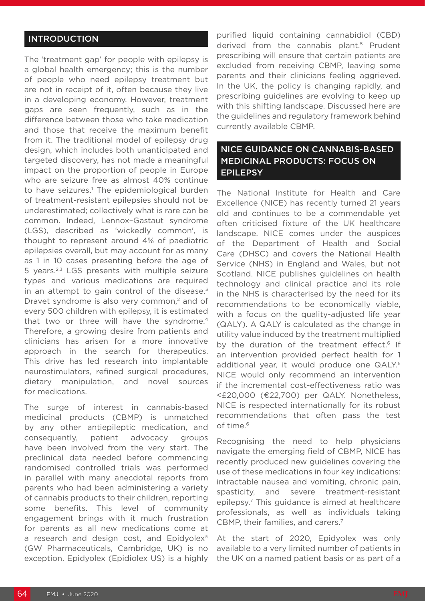#### INTRODUCTION

The 'treatment gap' for people with epilepsy is a global health emergency; this is the number of people who need epilepsy treatment but are not in receipt of it, often because they live in a developing economy. However, treatment gaps are seen frequently, such as in the difference between those who take medication and those that receive the maximum benefit from it. The traditional model of epilepsy drug design, which includes both unanticipated and targeted discovery, has not made a meaningful impact on the proportion of people in Europe who are seizure free as almost 40% continue to have seizures.<sup>1</sup> The epidemiological burden of treatment-resistant epilepsies should not be underestimated; collectively what is rare can be common. Indeed, Lennox–Gastaut syndrome (LGS), described as 'wickedly common', is thought to represent around 4% of paediatric epilepsies overall, but may account for as many as 1 in 10 cases presenting before the age of 5 years.2,3 LGS presents with multiple seizure types and various medications are required in an attempt to gain control of the disease. $3$ Dravet syndrome is also very common,<sup>2</sup> and of every 500 children with epilepsy, it is estimated that two or three will have the syndrome.<sup>4</sup> Therefore, a growing desire from patients and clinicians has arisen for a more innovative approach in the search for therapeutics. This drive has led research into implantable neurostimulators, refined surgical procedures, dietary manipulation, and novel sources for medications.

The surge of interest in cannabis-based medicinal products (CBMP) is unmatched by any other antiepileptic medication, and consequently, patient advocacy groups have been involved from the very start. The preclinical data needed before commencing randomised controlled trials was performed in parallel with many anecdotal reports from parents who had been administering a variety of cannabis products to their children, reporting some benefits. This level of community engagement brings with it much frustration for parents as all new medications come at a research and design cost, and Epidyolex<sup>®</sup> (GW Pharmaceuticals, Cambridge, UK) is no exception. Epidyolex (Epidiolex US) is a highly

purified liquid containing cannabidiol (CBD) derived from the cannabis plant.<sup>5</sup> Prudent prescribing will ensure that certain patients are excluded from receiving CBMP, leaving some parents and their clinicians feeling aggrieved. In the UK, the policy is changing rapidly, and prescribing guidelines are evolving to keep up with this shifting landscape. Discussed here are the guidelines and regulatory framework behind currently available CBMP.

#### NICE GUIDANCE ON CANNABIS-BASED MEDICINAL PRODUCTS: FOCUS ON EPILEPSY

The National Institute for Health and Care Excellence (NICE) has recently turned 21 years old and continues to be a commendable yet often criticised fixture of the UK healthcare landscape. NICE comes under the auspices of the Department of Health and Social Care (DHSC) and covers the National Health Service (NHS) in England and Wales, but not Scotland. NICE publishes guidelines on health technology and clinical practice and its role in the NHS is characterised by the need for its recommendations to be economically viable, with a focus on the quality-adjusted life year (QALY). A QALY is calculated as the change in utility value induced by the treatment multiplied by the duration of the treatment effect.<sup>6</sup> If an intervention provided perfect health for 1 additional year, it would produce one QALY.<sup>6</sup> NICE would only recommend an intervention if the incremental cost-effectiveness ratio was <£20,000 (€22,700) per QALY. Nonetheless, NICE is respected internationally for its robust recommendations that often pass the test of time.<sup>6</sup>

Recognising the need to help physicians navigate the emerging field of CBMP, NICE has recently produced new guidelines covering the use of these medications in four key indications: intractable nausea and vomiting, chronic pain, spasticity, and severe treatment-resistant epilepsy.7 This guidance is aimed at healthcare professionals, as well as individuals taking CBMP, their families, and carers.7

At the start of 2020, Epidyolex was only available to a very limited number of patients in the UK on a named patient basis or as part of a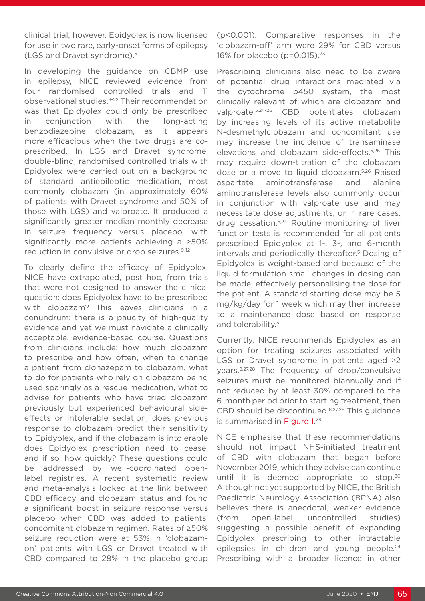clinical trial; however, Epidyolex is now licensed for use in two rare, early-onset forms of epilepsy (LGS and Dravet syndrome).5

In developing the guidance on CBMP use in epilepsy, NICE reviewed evidence from four randomised controlled trials and 11 observational studies.8-22 Their recommendation was that Epidyolex could only be prescribed in conjunction with the long-acting benzodiazepine clobazam, as it appears more efficacious when the two drugs are coprescribed. In LGS and Dravet syndrome, double-blind, randomised controlled trials with Epidyolex were carried out on a background of standard antiepileptic medication, most commonly clobazam (in approximately 60% of patients with Dravet syndrome and 50% of those with LGS) and valproate. It produced a significantly greater median monthly decrease in seizure frequency versus placebo, with significantly more patients achieving a >50% reduction in convulsive or drop seizures.<sup>9-12</sup>

To clearly define the efficacy of Epidyolex, NICE have extrapolated, post hoc, from trials that were not designed to answer the clinical question: does Epidyolex have to be prescribed with clobazam? This leaves clinicians in a conundrum; there is a paucity of high-quality evidence and yet we must navigate a clinically acceptable, evidence-based course. Questions from clinicians include: how much clobazam to prescribe and how often, when to change a patient from clonazepam to clobazam, what to do for patients who rely on clobazam being used sparingly as a rescue medication, what to advise for patients who have tried clobazam previously but experienced behavioural sideeffects or intolerable sedation, does previous response to clobazam predict their sensitivity to Epidyolex, and if the clobazam is intolerable does Epidyolex prescription need to cease, and if so, how quickly? These questions could be addressed by well-coordinated openlabel registries. A recent systematic review and meta-analysis looked at the link between CBD efficacy and clobazam status and found a significant boost in seizure response versus placebo when CBD was added to patients' concomitant clobazam regimen. Rates of ≥50% seizure reduction were at 53% in 'clobazamon' patients with LGS or Dravet treated with CBD compared to 28% in the placebo group

(p<0.001). Comparative responses in the 'clobazam-off' arm were 29% for CBD versus 16% for placebo (p=0.015).<sup>23</sup>

Prescribing clinicians also need to be aware of potential drug interactions mediated via the cytochrome p450 system, the most clinically relevant of which are clobazam and valproate.5,24-26 CBD potentiates clobazam by increasing levels of its active metabolite N-desmethylclobazam and concomitant use may increase the incidence of transaminase elevations and clobazam side-effects.5,26 This may require down-titration of the clobazam dose or a move to liquid clobazam.5,26 Raised aspartate aminotransferase and alanine aminotransferase levels also commonly occur in conjunction with valproate use and may necessitate dose adjustments, or in rare cases, drug cessation.5,24 Routine monitoring of liver function tests is recommended for all patients prescribed Epidyolex at 1-, 3-, and 6-month intervals and periodically thereafter.<sup>5</sup> Dosing of Epidyolex is weight-based and because of the liquid formulation small changes in dosing can be made, effectively personalising the dose for the patient. A standard starting dose may be 5 mg/kg/day for 1 week which may then increase to a maintenance dose based on response and tolerability.<sup>5</sup>

Currently, NICE recommends Epidyolex as an option for treating seizures associated with LGS or Dravet syndrome in patients aged ≥2 years.8,27,28 The frequency of drop/convulsive seizures must be monitored biannually and if not reduced by at least 30% compared to the 6-month period prior to starting treatment, then CBD should be discontinued.8,27,28 This guidance is summarised in Figure 1.<sup>29</sup>

NICE emphasise that these recommendations should not impact NHS-initiated treatment of CBD with clobazam that began before November 2019, which they advise can continue until it is deemed appropriate to stop.<sup>30</sup> Although not yet supported by NICE, the British Paediatric Neurology Association (BPNA) also believes there is anecdotal, weaker evidence (from open-label, uncontrolled studies) suggesting a possible benefit of expanding Epidyolex prescribing to other intractable epilepsies in children and young people.<sup>24</sup> Prescribing with a broader licence in other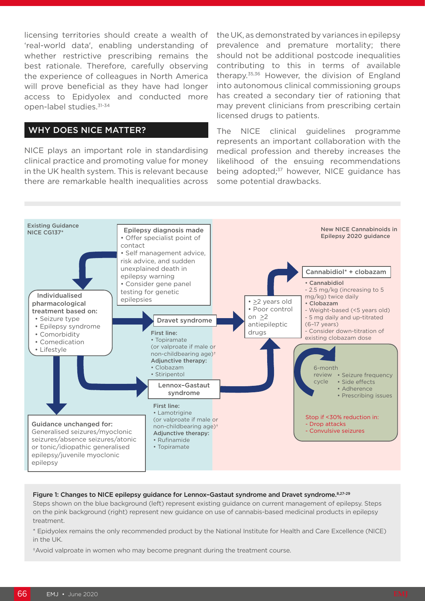licensing territories should create a wealth of 'real-world data', enabling understanding of whether restrictive prescribing remains the best rationale. Therefore, carefully observing the experience of colleagues in North America will prove beneficial as they have had longer access to Epidyolex and conducted more open-label studies.31-34

### WHY DOES NICE MATTER?

NICE plays an important role in standardising clinical practice and promoting value for money in the UK health system. This is relevant because there are remarkable health inequalities across

the UK, as demonstrated by variances in epilepsy prevalence and premature mortality; there should not be additional postcode inequalities contributing to this in terms of available therapy.35,36 However, the division of England into autonomous clinical commissioning groups has created a secondary tier of rationing that may prevent clinicians from prescribing certain licensed drugs to patients.

The NICE clinical guidelines programme represents an important collaboration with the medical profession and thereby increases the likelihood of the ensuing recommendations being adopted;<sup>37</sup> however, NICE guidance has some potential drawbacks.



#### Figure 1: Changes to NICE epilepsy guidance for Lennox-Gastaut syndrome and Dravet syndrome. 8,27-29

Steps shown on the blue background (left) represent existing guidance on current management of epilepsy. Steps on the pink background (right) represent new guidance on use of cannabis-based medicinal products in epilepsy treatment.

\* Epidyolex remains the only recommended product by the National Institute for Health and Care Excellence (NICE) in the UK.

†Avoid valproate in women who may become pregnant during the treatment course.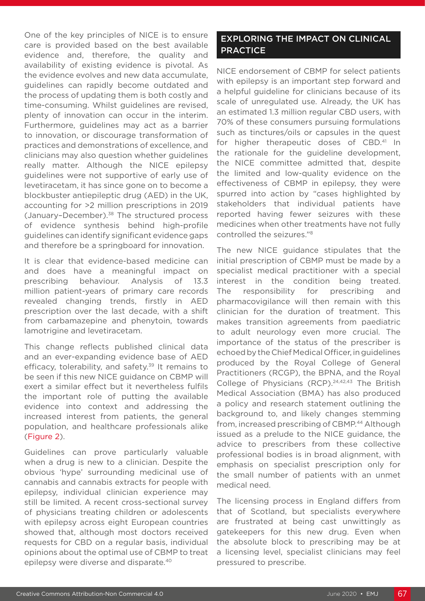One of the key principles of NICE is to ensure care is provided based on the best available evidence and, therefore, the quality and availability of existing evidence is pivotal. As the evidence evolves and new data accumulate, guidelines can rapidly become outdated and the process of updating them is both costly and time-consuming. Whilst guidelines are revised, plenty of innovation can occur in the interim. Furthermore, guidelines may act as a barrier to innovation, or discourage transformation of practices and demonstrations of excellence, and clinicians may also question whether guidelines really matter. Although the NICE epilepsy guidelines were not supportive of early use of levetiracetam, it has since gone on to become a blockbuster antiepileptic drug (AED) in the UK, accounting for >2 million prescriptions in 2019 (January–December).38 The structured process of evidence synthesis behind high-profile guidelines can identify significant evidence gaps and therefore be a springboard for innovation.

It is clear that evidence-based medicine can and does have a meaningful impact on prescribing behaviour. Analysis of 13.3 million patient-years of primary care records revealed changing trends, firstly in AED prescription over the last decade, with a shift from carbamazepine and phenytoin, towards lamotrigine and levetiracetam.

This change reflects published clinical data and an ever-expanding evidence base of AED efficacy, tolerability, and safety.<sup>39</sup> It remains to be seen if this new NICE guidance on CBMP will exert a similar effect but it nevertheless fulfils the important role of putting the available evidence into context and addressing the increased interest from patients, the general population, and healthcare professionals alike (Figure 2).

Guidelines can prove particularly valuable when a drug is new to a clinician. Despite the obvious 'hype' surrounding medicinal use of cannabis and cannabis extracts for people with epilepsy, individual clinician experience may still be limited. A recent cross-sectional survey of physicians treating children or adolescents with epilepsy across eight European countries showed that, although most doctors received requests for CBD on a regular basis, individual opinions about the optimal use of CBMP to treat epilepsy were diverse and disparate.40

### EXPLORING THE IMPACT ON CLINICAL **PRACTICE**

NICE endorsement of CBMP for select patients with epilepsy is an important step forward and a helpful guideline for clinicians because of its scale of unregulated use. Already, the UK has an estimated 1.3 million regular CBD users, with 70% of these consumers pursuing formulations such as tinctures/oils or capsules in the quest for higher therapeutic doses of CBD.<sup>41</sup> In the rationale for the guideline development, the NICE committee admitted that, despite the limited and low-quality evidence on the effectiveness of CBMP in epilepsy, they were spurred into action by "cases highlighted by stakeholders that individual patients have reported having fewer seizures with these medicines when other treatments have not fully controlled the seizures."8

The new NICE guidance stipulates that the initial prescription of CBMP must be made by a specialist medical practitioner with a special interest in the condition being treated. The responsibility for prescribing and pharmacovigilance will then remain with this clinician for the duration of treatment. This makes transition agreements from paediatric to adult neurology even more crucial. The importance of the status of the prescriber is echoed by the Chief Medical Officer, in guidelines produced by the Royal College of General Practitioners (RCGP), the BPNA, and the Royal College of Physicians (RCP).<sup>24,42,43</sup> The British Medical Association (BMA) has also produced a policy and research statement outlining the background to, and likely changes stemming from, increased prescribing of CBMP.<sup>44</sup> Although issued as a prelude to the NICE guidance, the advice to prescribers from these collective professional bodies is in broad alignment, with emphasis on specialist prescription only for the small number of patients with an unmet medical need.

The licensing process in England differs from that of Scotland, but specialists everywhere are frustrated at being cast unwittingly as gatekeepers for this new drug. Even when the absolute block to prescribing may be at a licensing level, specialist clinicians may feel pressured to prescribe.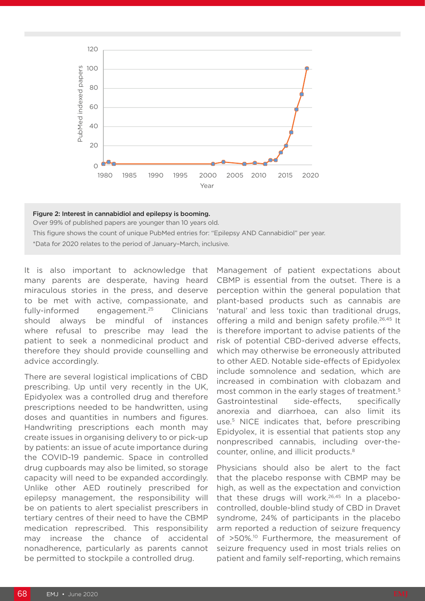

## Figure 2: Interest in cannabidiol and epilepsy is booming. Over 99% of published papers are younger than 10 years old. This figure shows the count of unique PubMed entries for: "Epilepsy AND Cannabidiol" per year. \*Data for 2020 relates to the period of January–March, inclusive.

It is also important to acknowledge that many parents are desperate, having heard miraculous stories in the press, and deserve to be met with active, compassionate, and fully-informed engagement.<sup>25</sup> Clinicians should always be mindful of instances where refusal to prescribe may lead the patient to seek a nonmedicinal product and therefore they should provide counselling and advice accordingly.

There are several logistical implications of CBD prescribing. Up until very recently in the UK, Epidyolex was a controlled drug and therefore prescriptions needed to be handwritten, using doses and quantities in numbers and figures. Handwriting prescriptions each month may create issues in organising delivery to or pick-up by patients: an issue of acute importance during the COVID-19 pandemic. Space in controlled drug cupboards may also be limited, so storage capacity will need to be expanded accordingly. Unlike other AED routinely prescribed for epilepsy management, the responsibility will be on patients to alert specialist prescribers in tertiary centres of their need to have the CBMP medication represcribed. This responsibility may increase the chance of accidental nonadherence, particularly as parents cannot be permitted to stockpile a controlled drug.

Management of patient expectations about CBMP is essential from the outset. There is a perception within the general population that plant-based products such as cannabis are 'natural' and less toxic than traditional drugs, offering a mild and benign safety profile.<sup>26,45</sup> It is therefore important to advise patients of the risk of potential CBD-derived adverse effects, which may otherwise be erroneously attributed to other AED. Notable side-effects of Epidyolex include somnolence and sedation, which are increased in combination with clobazam and most common in the early stages of treatment.<sup>5</sup> Gastrointestinal side-effects, specifically anorexia and diarrhoea, can also limit its use.5 NICE indicates that, before prescribing Epidyolex, it is essential that patients stop any nonprescribed cannabis, including over-thecounter, online, and illicit products.8

Physicians should also be alert to the fact that the placebo response with CBMP may be high, as well as the expectation and conviction that these drugs will work.<sup>26,45</sup> In a placebocontrolled, double-blind study of CBD in Dravet syndrome, 24% of participants in the placebo arm reported a reduction of seizure frequency of >50%.<sup>10</sup> Furthermore, the measurement of seizure frequency used in most trials relies on patient and family self-reporting, which remains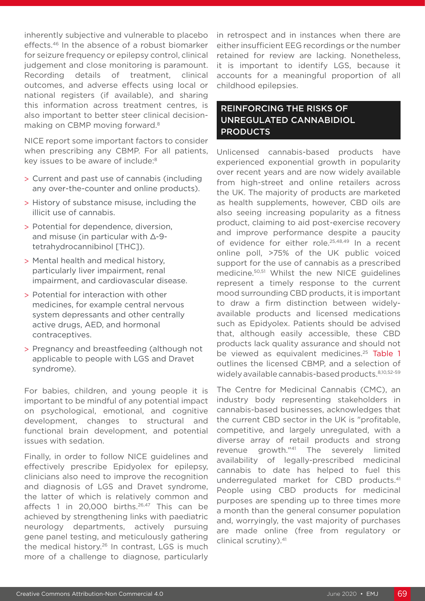inherently subjective and vulnerable to placebo effects.46 In the absence of a robust biomarker for seizure frequency or epilepsy control, clinical judgement and close monitoring is paramount. Recording details of treatment, clinical outcomes, and adverse effects using local or national registers (if available), and sharing this information across treatment centres, is also important to better steer clinical decisionmaking on CBMP moving forward.8

NICE report some important factors to consider when prescribing any CBMP. For all patients, key issues to be aware of include:<sup>8</sup>

- > Current and past use of cannabis (including any over-the-counter and online products).
- > History of substance misuse, including the illicit use of cannabis.
- > Potential for dependence, diversion, and misuse (in particular with Δ-9 tetrahydrocannibinol [THC]).
- > Mental health and medical history, particularly liver impairment, renal impairment, and cardiovascular disease.
- > Potential for interaction with other medicines, for example central nervous system depressants and other centrally active drugs, AED, and hormonal contraceptives.
- > Pregnancy and breastfeeding (although not applicable to people with LGS and Dravet syndrome).

For babies, children, and young people it is important to be mindful of any potential impact on psychological, emotional, and cognitive development, changes to structural and functional brain development, and potential issues with sedation.

Finally, in order to follow NICE guidelines and effectively prescribe Epidyolex for epilepsy, clinicians also need to improve the recognition and diagnosis of LGS and Dravet syndrome, the latter of which is relatively common and affects 1 in 20,000 births.<sup>26,47</sup> This can be achieved by strengthening links with paediatric neurology departments, actively pursuing gene panel testing, and meticulously gathering the medical history.<sup>26</sup> In contrast, LGS is much more of a challenge to diagnose, particularly

in retrospect and in instances when there are either insufficient EEG recordings or the number retained for review are lacking. Nonetheless, it is important to identify LGS, because it accounts for a meaningful proportion of all childhood epilepsies.

## REINFORCING THE RISKS OF UNREGULATED CANNABIDIOL PRODUCTS

Unlicensed cannabis-based products have experienced exponential growth in popularity over recent years and are now widely available from high-street and online retailers across the UK. The majority of products are marketed as health supplements, however, CBD oils are also seeing increasing popularity as a fitness product, claiming to aid post-exercise recovery and improve performance despite a paucity of evidence for either role.<sup>25,48,49</sup> In a recent online poll, >75% of the UK public voiced support for the use of cannabis as a prescribed medicine.50,51 Whilst the new NICE guidelines represent a timely response to the current mood surrounding CBD products, it is important to draw a firm distinction between widelyavailable products and licensed medications such as Epidyolex. Patients should be advised that, although easily accessible, these CBD products lack quality assurance and should not be viewed as equivalent medicines.<sup>25</sup> Table 1 outlines the licensed CBMP, and a selection of widely available cannabis-based products. 8,10,52-59

The Centre for Medicinal Cannabis (CMC), an industry body representing stakeholders in cannabis-based businesses, acknowledges that the current CBD sector in the UK is "profitable, competitive, and largely unregulated, with a diverse array of retail products and strong revenue growth."41 The severely limited availability of legally-prescribed medicinal cannabis to date has helped to fuel this underregulated market for CBD products.41 People using CBD products for medicinal purposes are spending up to three times more a month than the general consumer population and, worryingly, the vast majority of purchases are made online (free from regulatory or clinical scrutiny).41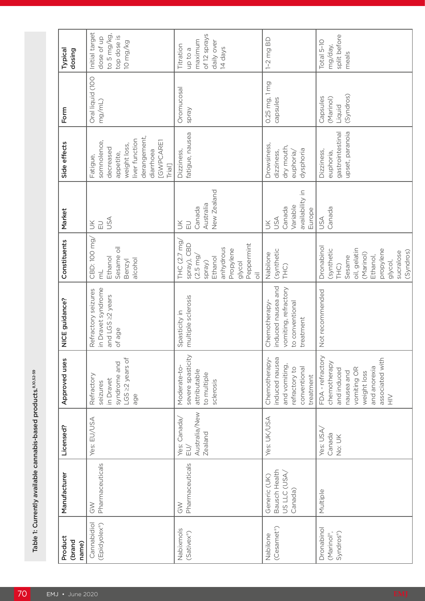| Typical<br>dosing          | Initial target<br>to 5 mg/kg,<br>top dose is<br>dose of up<br>10 mg/kg                                                                 | of 12 sprays<br>maximum<br>daily over<br>Titration<br>14 days<br>up to a                                                                                         | $1-2$ mg BD                                                                                    | split before<br>Total 5-10<br>mg/day,<br>meals                                                                                            |
|----------------------------|----------------------------------------------------------------------------------------------------------------------------------------|------------------------------------------------------------------------------------------------------------------------------------------------------------------|------------------------------------------------------------------------------------------------|-------------------------------------------------------------------------------------------------------------------------------------------|
| Form                       | Oral liquid (100<br>mg/mL)                                                                                                             | Oromucosal<br>Spray                                                                                                                                              | 0.25 mg, 1 mg<br>capsules                                                                      | (Syndros)<br>Capsules<br>(Marinol)<br>Liquid                                                                                              |
| Side effects               | derangement,<br>liver function<br>[GWPCARE1<br>somnolence,<br>weight loss,<br>decreased<br>diarrhoea<br>appetite,<br>Fatigue,<br>Trial | fatigue, nausea<br>Dizziness,                                                                                                                                    | Drowsiness,<br>dry mouth,<br>dysphoria<br>dizziness,<br>euphoria/                              | gastrointestinal<br>upset, paranoia<br>Dizziness,<br>euphoria,                                                                            |
| Market                     | <b>ASU</b><br>$\leqq$<br>$\Xi$                                                                                                         | New Zealand<br>Australia<br>Canada<br>$\Xi$<br>$\leq$                                                                                                            | availability in<br>Variable<br>Canada<br>Europe<br><b>USA</b><br>$\leq$                        | Canada<br><b>ASU</b>                                                                                                                      |
| Constituents               | CBD: 100 mg/<br>Sesame oil<br>Ethanol<br>alcohol<br>Benzyl<br>Ę                                                                        | THC (2.7 mg,<br>Peppermint<br>spray), CBD<br>anhydrous<br>Propylene<br>$(2.5 \text{ mg})$<br>Ethanol<br>Spray)<br>glycol<br>$\overline{\overline{\overline{0}}}$ | (synthetic<br>Nabilone<br>THC)                                                                 | Dronabinol<br>(synthetic<br>propylene<br>oil, gelatin<br>sucralose<br>(Marinol)<br>Sesame<br>Ethanol,<br>glycol,<br>THC)                  |
| NICE guidance?             | in Dravet syndrome<br>Refractory seizures<br>and LGS 22 years<br>of age                                                                | multiple sclerosis<br>Spasticity in                                                                                                                              | induced nausea and<br>vomiting, refractory<br>Chemotherapy-<br>to conventional<br>treatment    | Not recommended                                                                                                                           |
| Approved uses              | LGS 22 years of<br>syndrome and<br>Refractory<br>in Dravet<br>seizures<br>age                                                          | severe spasticity<br>Moderate-to-<br>attributable<br>to multiple<br>sclerosis                                                                                    | induced nausea<br>Chemotherapy-<br>and vomiting,<br>conventional<br>refractory to<br>treatment | FDA - refractory<br>associated with<br>chemotherapy<br>and anorexia<br>vomiting OR<br>and induced<br>nausea and<br>weight loss<br>$\geqq$ |
| Licensed?                  | Yes: EU/USA                                                                                                                            | Australia/New<br>Yes: Canada<br>Zealand<br>$\geq$                                                                                                                | Yes: UK/USA                                                                                    | Yes: USA,<br>Canada<br>No: UK                                                                                                             |
| Manufacturer               | Pharmaceuticals<br>$rac{5}{3}$                                                                                                         | Pharmaceuticals<br>$rac{1}{2}$                                                                                                                                   | Bausch Health<br>US LLC (USA,<br>Generic (UK)<br>Canada)                                       | Multiple                                                                                                                                  |
| Product<br>(brand<br>name) | Cannabidiol<br>(Epidyolex®)                                                                                                            | Nabixmols<br>(Sativex <sup>®</sup> )                                                                                                                             | (Cesamet <sup>®</sup> )<br>Nabilone                                                            | Dronabinol<br>Syndros <sup>®</sup> )<br>(Marinol®,                                                                                        |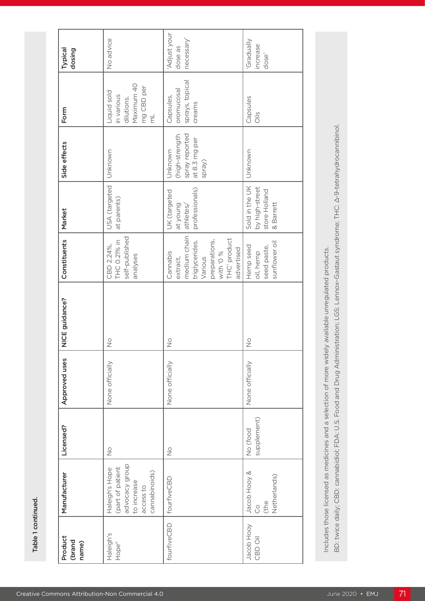| dose'<br>sprays, topical<br>Maximum 40<br>mg CBD per<br>oromucosal<br>Liquid sold<br>in various<br>Capsules,<br>Capsules<br>dilutions.<br>creams<br>$\frac{1}{2}$<br>$\overline{\overline{\epsilon}}$<br>spray reported<br>(high-strength<br>at 8.3 mg per<br>Unknown<br>Unknown<br>Unknown<br>Spray)<br>USA (targeted<br>Sold in the UK<br>by high-street<br>professionals)<br>store Holland<br>UK (targeted<br>at parents)<br>& Barrett<br>at young<br>athletes/<br>medium chain<br>self-published<br>THC' product<br>preparations,<br>THC 0.21% in<br>sunflower oil<br>triglycerides.<br>CBD 2.24%,<br>Hemp seed<br>seed paste,<br>advertised<br>% 0, 411M<br>oil, hemp<br>Cannabis<br>analyses<br>Various<br>extract,<br>$\frac{0}{2}$<br>$\frac{0}{2}$<br>$\frac{0}{2}$<br>None officially<br>None officially<br>None officially<br>supplement)<br>No (food<br>$\overset{\circ}{\simeq}$<br>$\stackrel{\circ}{\geq}$<br>advocacy group<br>(part of patient<br>Haleigh's Hope<br>cannabinoids)<br>Jacob Hooy &<br>Netherlands)<br>fourfiveCBD<br>to increase<br>access to<br>(the<br><sup>o</sup><br>fourfiveCBD<br>Jacob Hooy<br>Haleigh's<br>CBD Oil<br>Hope® | Product<br>(brand<br>name) | Manufacturer | Licensed? | Approved uses | NICE guidance? | Constituents | Market | Side effects | Form | Typical<br>dosing                    |
|---------------------------------------------------------------------------------------------------------------------------------------------------------------------------------------------------------------------------------------------------------------------------------------------------------------------------------------------------------------------------------------------------------------------------------------------------------------------------------------------------------------------------------------------------------------------------------------------------------------------------------------------------------------------------------------------------------------------------------------------------------------------------------------------------------------------------------------------------------------------------------------------------------------------------------------------------------------------------------------------------------------------------------------------------------------------------------------------------------------------------------------------------------------------|----------------------------|--------------|-----------|---------------|----------------|--------------|--------|--------------|------|--------------------------------------|
|                                                                                                                                                                                                                                                                                                                                                                                                                                                                                                                                                                                                                                                                                                                                                                                                                                                                                                                                                                                                                                                                                                                                                                     |                            |              |           |               |                |              |        |              |      | No advice                            |
|                                                                                                                                                                                                                                                                                                                                                                                                                                                                                                                                                                                                                                                                                                                                                                                                                                                                                                                                                                                                                                                                                                                                                                     |                            |              |           |               |                |              |        |              |      | Adjust your<br>necessary'<br>dose as |
|                                                                                                                                                                                                                                                                                                                                                                                                                                                                                                                                                                                                                                                                                                                                                                                                                                                                                                                                                                                                                                                                                                                                                                     |                            |              |           |               |                |              |        |              |      | <b>Allenpelag</b> ,<br>increase      |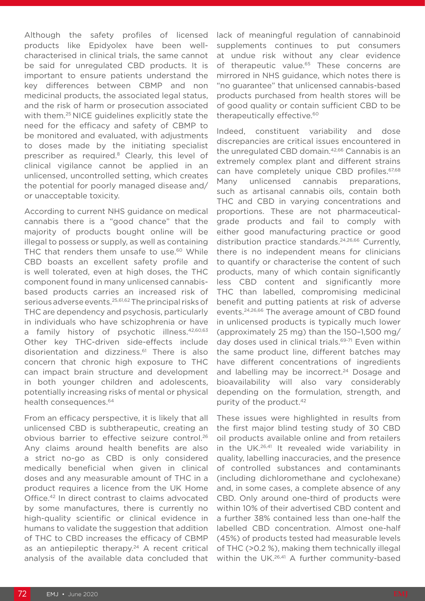Although the safety profiles of licensed products like Epidyolex have been wellcharacterised in clinical trials, the same cannot be said for unregulated CBD products. It is important to ensure patients understand the key differences between CBMP and non medicinal products, the associated legal status, and the risk of harm or prosecution associated with them.<sup>25</sup> NICE quidelines explicitly state the need for the efficacy and safety of CBMP to be monitored and evaluated, with adjustments to doses made by the initiating specialist prescriber as required.<sup>8</sup> Clearly, this level of clinical vigilance cannot be applied in an unlicensed, uncontrolled setting, which creates the potential for poorly managed disease and/ or unacceptable toxicity.

According to current NHS guidance on medical cannabis there is a "good chance" that the majority of products bought online will be illegal to possess or supply, as well as containing THC that renders them unsafe to use.<sup>60</sup> While CBD boasts an excellent safety profile and is well tolerated, even at high doses, the THC component found in many unlicensed cannabisbased products carries an increased risk of serious adverse events.25,61,62 The principal risks of THC are dependency and psychosis, particularly in individuals who have schizophrenia or have a family history of psychotic illness.<sup>42,60,63</sup> Other key THC-driven side-effects include disorientation and dizziness.<sup>61</sup> There is also concern that chronic high exposure to THC can impact brain structure and development in both younger children and adolescents, potentially increasing risks of mental or physical health consequences.<sup>64</sup>

From an efficacy perspective, it is likely that all unlicensed CBD is subtherapeutic, creating an obvious barrier to effective seizure control.26 Any claims around health benefits are also a strict no-go as CBD is only considered medically beneficial when given in clinical doses and any measurable amount of THC in a product requires a licence from the UK Home Office.42 In direct contrast to claims advocated by some manufactures, there is currently no high-quality scientific or clinical evidence in humans to validate the suggestion that addition of THC to CBD increases the efficacy of CBMP as an antiepileptic therapy. $24$  A recent critical analysis of the available data concluded that

lack of meaningful regulation of cannabinoid supplements continues to put consumers at undue risk without any clear evidence of therapeutic value.<sup>65</sup> These concerns are mirrored in NHS guidance, which notes there is "no guarantee" that unlicensed cannabis-based products purchased from health stores will be of good quality or contain sufficient CBD to be therapeutically effective.<sup>60</sup>

Indeed, constituent variability and dose discrepancies are critical issues encountered in the unregulated CBD domain.<sup>42,66</sup> Cannabis is an extremely complex plant and different strains can have completely unique CBD profiles.<sup>67,68</sup> Many unlicensed cannabis preparations, such as artisanal cannabis oils, contain both THC and CBD in varying concentrations and proportions. These are not pharmaceuticalgrade products and fail to comply with either good manufacturing practice or good distribution practice standards.24,26,66 Currently, there is no independent means for clinicians to quantify or characterise the content of such products, many of which contain significantly less CBD content and significantly more THC than labelled, compromising medicinal benefit and putting patients at risk of adverse events.24,26,66 The average amount of CBD found in unlicensed products is typically much lower (approximately 25 mg) than the 150–1,500 mg/ day doses used in clinical trials.<sup>69-71</sup> Even within the same product line, different batches may have different concentrations of ingredients and labelling may be incorrect.<sup>24</sup> Dosage and bioavailability will also vary considerably depending on the formulation, strength, and purity of the product.42

These issues were highlighted in results from the first major blind testing study of 30 CBD oil products available online and from retailers in the UK.26,41 It revealed wide variability in quality, labelling inaccuracies, and the presence of controlled substances and contaminants (including dichloromethane and cyclohexane) and, in some cases, a complete absence of any CBD. Only around one-third of products were within 10% of their advertised CBD content and a further 38% contained less than one-half the labelled CBD concentration. Almost one-half (45%) of products tested had measurable levels of THC (>0.2 %), making them technically illegal within the UK.<sup>26,41</sup> A further community-based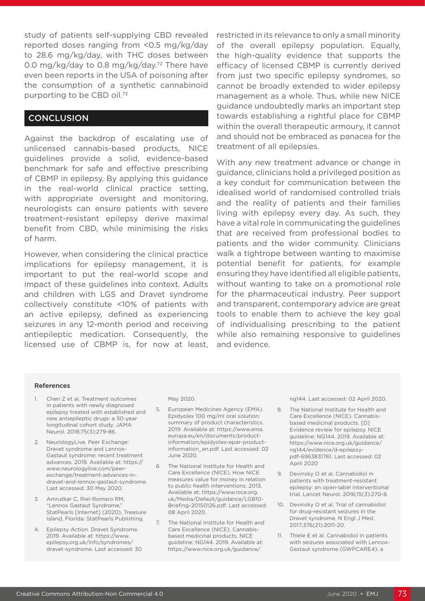study of patients self-supplying CBD revealed reported doses ranging from <0.5 mg/kg/day to 28.6 mg/kg/day, with THC doses between 0.0 mg/kg/day to 0.8 mg/kg/day.<sup>72</sup> There have even been reports in the USA of poisoning after the consumption of a synthetic cannabinoid purporting to be CBD oil.73

#### **CONCLUSION**

Against the backdrop of escalating use of unlicensed cannabis-based products, NICE guidelines provide a solid, evidence-based benchmark for safe and effective prescribing of CBMP in epilepsy. By applying this guidance in the real-world clinical practice setting, with appropriate oversight and monitoring, neurologists can ensure patients with severe treatment-resistant epilepsy derive maximal benefit from CBD, while minimising the risks of harm.

However, when considering the clinical practice implications for epilepsy management, it is important to put the real-world scope and impact of these guidelines into context. Adults and children with LGS and Dravet syndrome collectively constitute <10% of patients with an active epilepsy, defined as experiencing seizures in any 12-month period and receiving antiepileptic medication. Consequently, the licensed use of CBMP is, for now at least, restricted in its relevance to only a small minority of the overall epilepsy population. Equally, the high-quality evidence that supports the efficacy of licensed CBMP is currently derived from just two specific epilepsy syndromes, so cannot be broadly extended to wider epilepsy management as a whole. Thus, while new NICE guidance undoubtedly marks an important step towards establishing a rightful place for CBMP within the overall therapeutic armoury, it cannot and should not be embraced as panacea for the treatment of all epilepsies.

With any new treatment advance or change in guidance, clinicians hold a privileged position as a key conduit for communication between the idealised world of randomised controlled trials and the reality of patients and their families living with epilepsy every day. As such, they have a vital role in communicating the guidelines that are received from professional bodies to patients and the wider community. Clinicians walk a tightrope between wanting to maximise potential benefit for patients, for example ensuring they have identified all eligible patients, without wanting to take on a promotional role for the pharmaceutical industry. Peer support and transparent, contemporary advice are great tools to enable them to achieve the key goal of individualising prescribing to the patient while also remaining responsive to guidelines and evidence.

#### References

- 1. Chen Z et al. Treatment outcomes in patients with newly diagnosed epilepsy treated with established and new antiepileptic drugs: a 30-year longitudinal cohort study. JAMA Neurol. 2018;75(3):279-86.
- 2. NeurologyLive. Peer Exchange: Dravet syndrome and Lennox-Gastaut syndrome: recent treatment advances. 2019. Available at: https:// www.neurologylive.com/peerexchange/treatment-advances-indravet-and-lennox-gastaut-syndrome. Last accessed: 30 May 2020.
- 3. Amrutkar C, Riel-Romero RM, "Lennox Gastaut Syndrome," StatPearls [Internet] (2020), Treasure Island, Florida: StatPearls Publishing.
- 4. Epilepsy Action. Dravet Syndrome. 2019. Available at: https://www. epilepsy.org.uk/info/syndromes/ dravet-syndrome. Last accessed: 30

May 2020.

- 5. European Medicines Agency (EMA). Epidyolex 100 mg/ml oral solution: summary of product characteristics. 2019. Available at: https://www.ema. europa.eu/en/documents/productinformation/epidyolex-epar-productinformation\_en.pdf. Last accessed: 02 June 2020.
- 6. The National Institute for Health and Care Excellence (NICE). How NICE measures value for money in relation to public health interventions. 2013. Available at: https://www.nice.org. uk/Media/Default/guidance/LGB10- Briefing-20150126.pdf. Last accessed: 08 April 2020.
- 7. The National Institute for Health and Care Excellence (NICE). Cannabisbased medicinal products. NICE guideline: NG144. 2019. Available at: https://www.nice.org.uk/guidance/

ng144. Last accessed: 02 April 2020.

- 8. The National Institute for Health and Care Excellence (NICE). Cannabisbased medicinal products. [D] Evidence review for epilepsy. NICE guideline: NG144. 2019. Available at: https://www.nice.org.uk/guidance/ ng144/evidence/d-epilepsypdf-6963831761. Last accessed: 02 April 2020
- 9. Devinsky O et al. Cannabidiol in patients with treatment-resistant epilepsy: an open-label interventional trial. Lancet Neurol. 2016;15(3):270-8.
- 10. Devinsky O et al. Trial of cannabidiol for drug-resistant seizures in the Dravet syndrome. N Engl J Med. 2017;376(21):2011-20.
- 11. Thiele E et al. Cannabidiol in patients with seizures associated with Lennox-Gastaut syndrome (GWPCARE4): a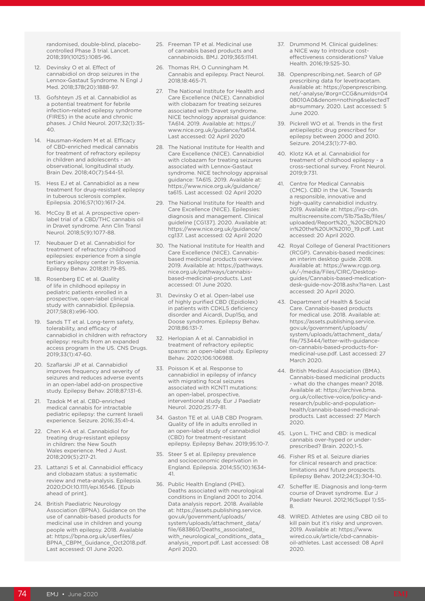randomised, double-blind, placebocontrolled Phase 3 trial. Lancet. 2018;391(10125):1085-96.

- 12. Devinsky O et al. Effect of cannabidiol on drop seizures in the Lennox-Gastaut Syndrome. N Engl J Med. 2018;378(20):1888-97.
- 13. Gofshteyn JS et al. Cannabidiol as a potential treatment for febrile infection-related epilepsy syndrome (FIRES) in the acute and chronic phases. J Child Neurol. 2017;32(1):35- 40.
- 14. Hausman-Kedem M et al. Efficacy of CBD-enriched medical cannabis for treatment of refractory epilepsy in children and adolescents - an observational, longitudinal study. Brain Dev. 2018;40(7):544-51.
- 15. Hess EJ et al. Cannabidiol as a new treatment for drug-resistant epilepsy in tuberous sclerosis complex. Epilepsia. 2016;57(10):1617-24.
- 16. McCoy B et al. A prospective openlabel trial of a CBD/THC cannabis oil in Dravet syndrome. Ann Clin Transl Neurol. 2018;5(9):1077-88.
- 17. Neubauer D et al. Cannabidiol for treatment of refractory childhood epilepsies: experience from a single tertiary epilepsy center in Slovenia. Epilepsy Behav. 2018;81:79-85.
- 18. Rosenberg EC et al. Quality of life in childhood epilepsy in pediatric patients enrolled in a prospective, open-label clinical study with cannabidiol. Epilepsia. 2017;58(8):e96-100.
- 19. Sands TT et al. Long-term safety, tolerability, and efficacy of cannabidiol in children with refractory epilepsy: results from an expanded access program in the US. CNS Drugs. 2019;33(1):47-60.
- 20. Szaflarski JP et al. Cannabidiol improves frequency and severity of seizures and reduces adverse events in an open-label add-on prospective study. Epilepsy Behav. 2018;87:131-6.
- 21. Tzadok M et al. CBD-enriched medical cannabis for intractable pediatric epilepsy: the current Israeli experience. Seizure. 2016;35:41-4.
- 22. Chen K-A et al. Cannabidiol for treating drug-resistant epilepsy in children: the New South Wales experience. Med J Aust. 2018;209(5):217-21.
- 23. Lattanzi S et al. Cannabidiol efficacy and clobazam status: a systematic review and meta-analysis. Epilepsia. 2020;DOI:10.1111/epi.16546. [Epub ahead of print].
- 24. British Paediatric Neurology Association (BPNA). Guidance on the use of cannabis-based products for medicinal use in children and young people with epilepsy. 2018. Available at: https://bpna.org.uk/userfiles/ BPNA\_CBPM\_Guidance\_Oct2018.pdf. Last accessed: 01 June 2020.
- 25. Freeman TP et al. Medicinal use of cannabis based products and cannabinoids. BMJ. 2019;365:I1141.
- 26. Thomas RH, O Cunningham M. Cannabis and epilepsy. Pract Neurol. 2018;18:465-71.
- 27. The National Institute for Health and Care Excellence (NICE). Cannabidiol with clobazam for treating seizures associated with Dravet syndrome. NICE technology appraisal guidance: TA614. 2019. Available at: https:// www.nice.org.uk/guidance/ta614. Last accessed: 02 April 2020
- 28. The National Institute for Health and Care Excellence (NICE). Cannabidiol with clobazam for treating seizures associated with Lennox-Gastaut syndrome. NICE technology appraisal guidance: TA615. 2019. Available at: https://www.nice.org.uk/guidance/ ta615. Last accessed: 02 April 2020
- 29. The National Institute for Health and Care Excellence (NICE). Epilepsies: diagnosis and management. Clinical guideline [CG137]. 2020. Available at: https://www.nice.org.uk/guidance/ cg137. Last accessed: 02 April 2020
- 30. The National Institute for Health and Care Excellence (NICE). Cannabisbased medicinal products overview. 2019. Available at: https://pathways. nice.org.uk/pathways/cannabisbased-medicinal-products. Last accessed: 01 June 2020.
- 31. Devinsky O et al. Open-label use of highly purified CBD (Epidiolex) in patients with CDKL5 deficiency disorder and Aicardi, Dup15q, and Doose syndromes. Epilepsy Behav. 2018;86:131-7.
- 32. Herlopian A et al. Cannabidiol in treatment of refractory epileptic spasms: an open-label study. Epilepsy Behav. 2020;106:106988.
- 33. Poisson K et al. Response to cannabidiol in epilepsy of infancy with migrating focal seizures associated with KCNT1 mutations: an open-label, prospective, interventional study. Eur J Paediatr Neurol. 2020;25:77-81.
- 34. Gaston TE et al. UAB CBD Program. Quality of life in adults enrolled in an open-label study of cannabidiol (CBD) for treatment-resistant epilepsy. Epilepsy Behav. 2019;95:10-7.
- 35. Steer S et al. Epilepsy prevalence and socioeconomic deprivation in England. Epilepsia. 2014;55(10):1634- 41.
- 36. Public Health England (PHE). Deaths associated with neurological conditions in England 2001 to 2014. Data analysis report. 2018. Available at: https://assets.publishing.service. gov.uk/government/uploads/ system/uploads/attachment\_data/ file/683860/Deaths\_associated\_ with\_neurological\_conditions\_data analysis\_report.pdf. Last accessed: 08 April 2020.
- 37. Drummond M. Clinical guidelines: a NICE way to introduce costeffectiveness considerations? Value Health. 2016;19:525-30.
- 38. Openprescribing.net. Search of GP prescribing data for levetiracetam. Available at: https://openprescribing. net/-analyse/#org=CCG&numIds=04 08010A0&denom=nothing&selectedT ab=summary. 2020. Last accessed: 5 June 2020.
- 39. Pickrell WO et al. Trends in the first antiepileptic drug prescribed for epilepsy between 2000 and 2010. Seizure. 2014;23(1):77-80.
- 40. Klotz KA et al. Cannabidiol for treatment of childhood epilepsy - a cross-sectional survey. Front Neurol. 2019;9:731.
- 41. Centre for Medical Cannabis (CMC). CBD in the UK. Towards a responsible, innovative and high-quality cannabidiol industry. 2019. Available at: https://irp-cdn. multiscreensite.com/51b75a3b/files/ uploaded/Report%20\_%20CBD%20 in%20the%20UK%2010\_19.pdf. Last accessed: 20 April 2020.
- 42. Royal College of General Practitioners (RCGP). Cannabis-based medicines: an interim desktop guide. 2018. Available at: https://www.rcgp.org. uk/-/media/Files/CIRC/Desktopguides/Cannabis-based-medicationdesk-guide-nov-2018.ashx?la=en. Last accessed: 20 April 2020.
- 43. Department of Health & Social Care. Cannabis-based products for medical use. 2018. Available at: https://assets.publishing.service. gov.uk/government/uploads/ system/uploads/attachment\_data/ file/753444/letter-with-guidanceon-cannabis-based-products-formedicinal-use.pdf. Last accessed: 27 March 2020.
- 44. British Medical Association (BMA). Cannabis-based medicinal products - what do the changes mean? 2018. Available at: https://archive.bma. org.uk/collective-voice/policy-andresearch/public-and-populationhealth/cannabis-based-medicinalproducts. Last accessed: 27 March 2020.
- 45. Lyon L. THC and CBD: is medical cannabis over-hyped or underprescribed? Brain. 2020;1-5.
- 46. Fisher RS et al. Seizure diaries for clinical research and practice: limitations and future prospects. Epilepsy Behav. 2012;24(3):304-10.
- 47. Scheffer IE. Diagnosis and long-term course of Dravet syndrome. Eur J Paediatr Neurol. 2012;16(Suppl 1):S5- 8.
- 48. WIRED. Athletes are using CBD oil to kill pain but it's risky and unproven. 2019. Available at: https://www. wired.co.uk/article/cbd-cannabisoil-athletes. Last accessed: 08 April 2020.